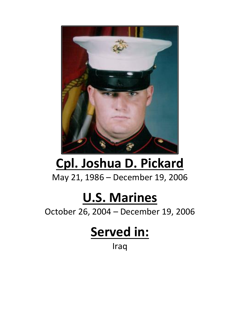

## **Cpl. Joshua D. Pickard**

May 21, 1986 – December 19, 2006

## **U.S. Marines**

October 26, 2004 – December 19, 2006

## **Served in:**

Iraq